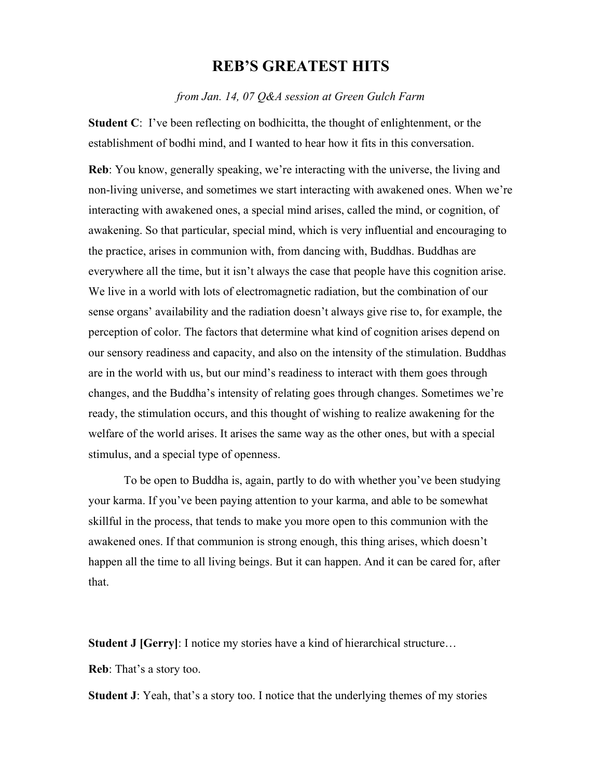## **REB'S GREATEST HITS**

*from Jan. 14, 07 Q&A session at Green Gulch Farm* 

**Student C**: I've been reflecting on bodhicitta, the thought of enlightenment, or the establishment of bodhi mind, and I wanted to hear how it fits in this conversation.

**Reb**: You know, generally speaking, we're interacting with the universe, the living and non-living universe, and sometimes we start interacting with awakened ones. When we're interacting with awakened ones, a special mind arises, called the mind, or cognition, of awakening. So that particular, special mind, which is very influential and encouraging to the practice, arises in communion with, from dancing with, Buddhas. Buddhas are everywhere all the time, but it isn't always the case that people have this cognition arise. We live in a world with lots of electromagnetic radiation, but the combination of our sense organs' availability and the radiation doesn't always give rise to, for example, the perception of color. The factors that determine what kind of cognition arises depend on our sensory readiness and capacity, and also on the intensity of the stimulation. Buddhas are in the world with us, but our mind's readiness to interact with them goes through changes, and the Buddha's intensity of relating goes through changes. Sometimes we're ready, the stimulation occurs, and this thought of wishing to realize awakening for the welfare of the world arises. It arises the same way as the other ones, but with a special stimulus, and a special type of openness.

 To be open to Buddha is, again, partly to do with whether you've been studying your karma. If you've been paying attention to your karma, and able to be somewhat skillful in the process, that tends to make you more open to this communion with the awakened ones. If that communion is strong enough, this thing arises, which doesn't happen all the time to all living beings. But it can happen. And it can be cared for, after that.

**Student J [Gerry]: I notice my stories have a kind of hierarchical structure...** 

**Reb**: That's a story too.

**Student J**: Yeah, that's a story too. I notice that the underlying themes of my stories